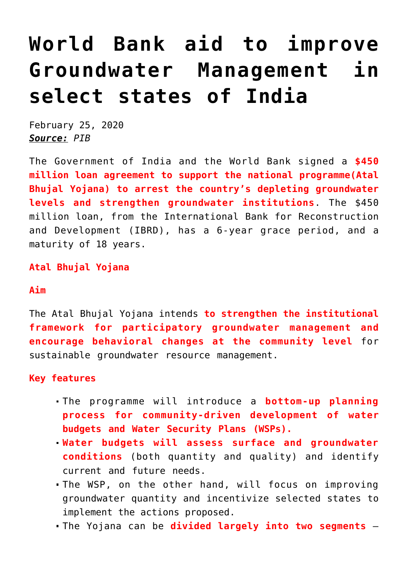# **[World Bank aid to improve](https://journalsofindia.com/world-bank-aid-to-improve-groundwater-management-in-select-states-of-india/) [Groundwater Management in](https://journalsofindia.com/world-bank-aid-to-improve-groundwater-management-in-select-states-of-india/) [select states of India](https://journalsofindia.com/world-bank-aid-to-improve-groundwater-management-in-select-states-of-india/)**

February 25, 2020 *Source: PIB*

The Government of India and the World Bank signed a **\$450 million loan agreement to support the national programme(Atal Bhujal Yojana) to arrest the country's depleting groundwater levels and strengthen groundwater institutions**. The \$450 million loan, from the International Bank for Reconstruction and Development (IBRD), has a 6-year grace period, and a maturity of 18 years.

**Atal Bhujal Yojana**

## **Aim**

The Atal Bhujal Yojana intends **to strengthen the institutional framework for participatory groundwater management and encourage behavioral changes at the community level** for sustainable groundwater resource management.

# **Key features**

- The programme will introduce a **bottom-up planning process for community-driven development of water budgets and Water Security Plans (WSPs).**
- **Water budgets will assess surface and groundwater conditions** (both quantity and quality) and identify current and future needs.
- The WSP, on the other hand, will focus on improving groundwater quantity and incentivize selected states to implement the actions proposed.
- The Yojana can be **divided largely into two segments** –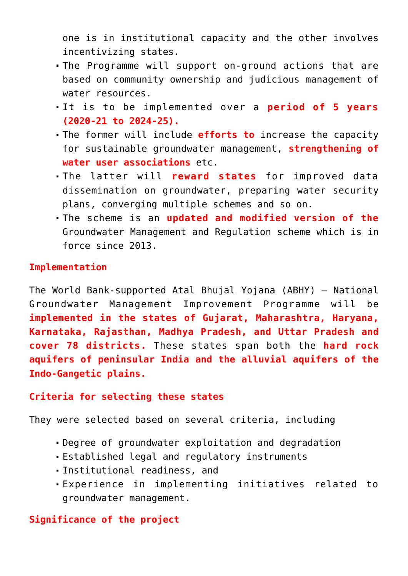one is in institutional capacity and the other involves incentivizing states.

- The Programme will support on-ground actions that are based on community ownership and judicious management of water resources.
- It is to be implemented over a **period of 5 years (2020-21 to 2024-25).**
- The former will include **efforts to** increase the capacity for sustainable groundwater management, **strengthening of water user associations** etc.
- The latter will **reward states** for improved data dissemination on groundwater, preparing water security plans, converging multiple schemes and so on.
- The scheme is an **updated and modified version of the** Groundwater Management and Regulation scheme which is in force since 2013.

#### **Implementation**

The World Bank-supported Atal Bhujal Yojana (ABHY) – National Groundwater Management Improvement Programme will be **implemented in the states of Gujarat, Maharashtra, Haryana, Karnataka, Rajasthan, Madhya Pradesh, and Uttar Pradesh and cover 78 districts.** These states span both the **hard rock aquifers of peninsular India and the alluvial aquifers of the Indo-Gangetic plains.** 

## **Criteria for selecting these states**

They were selected based on several criteria, including

- Degree of groundwater exploitation and degradation
- Established legal and regulatory instruments
- Institutional readiness, and
- Experience in implementing initiatives related to groundwater management.

# **Significance of the project**